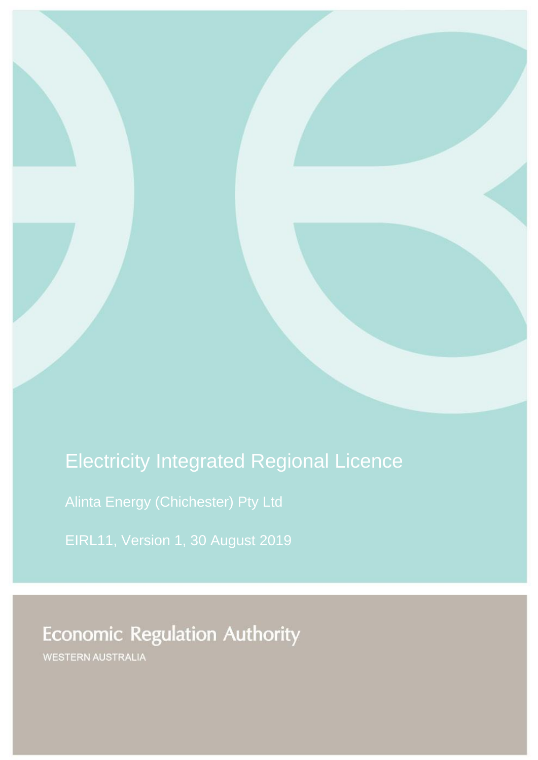# Electricity Integrated Regional Licence

Alinta Energy (Chichester) Pty Ltd

EIRL11, Version 1, 30 August 2019

**Economic Regulation Authority** 

**WESTERN AUSTRALIA**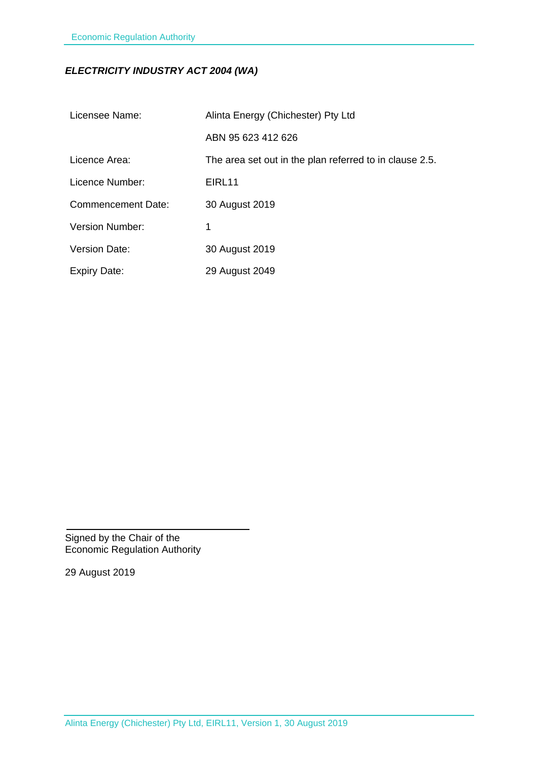## *ELECTRICITY INDUSTRY ACT 2004 (WA)*

| Licensee Name:            | Alinta Energy (Chichester) Pty Ltd                      |  |
|---------------------------|---------------------------------------------------------|--|
|                           | ABN 95 623 412 626                                      |  |
| Licence Area:             | The area set out in the plan referred to in clause 2.5. |  |
| Licence Number:           | EIRL11                                                  |  |
| <b>Commencement Date:</b> | 30 August 2019                                          |  |
| <b>Version Number:</b>    | 1                                                       |  |
| <b>Version Date:</b>      | 30 August 2019                                          |  |
| <b>Expiry Date:</b>       | 29 August 2049                                          |  |

Signed by the Chair of the Economic Regulation Authority

29 August 2019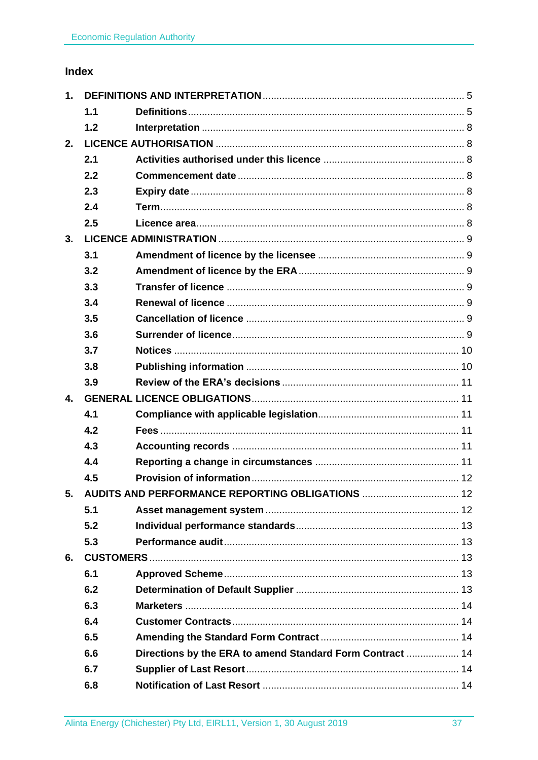## Index

| 1. |     |                                                           |  |
|----|-----|-----------------------------------------------------------|--|
|    | 1.1 |                                                           |  |
|    | 1.2 |                                                           |  |
| 2. |     |                                                           |  |
|    | 2.1 |                                                           |  |
|    | 2.2 |                                                           |  |
|    | 2.3 |                                                           |  |
|    | 2.4 |                                                           |  |
|    | 2.5 |                                                           |  |
| 3. |     |                                                           |  |
|    | 3.1 |                                                           |  |
|    | 3.2 |                                                           |  |
|    | 3.3 |                                                           |  |
|    | 3.4 |                                                           |  |
|    | 3.5 |                                                           |  |
|    | 3.6 |                                                           |  |
|    | 3.7 |                                                           |  |
|    | 3.8 |                                                           |  |
|    | 3.9 |                                                           |  |
| 4. |     |                                                           |  |
|    | 4.1 |                                                           |  |
|    | 4.2 |                                                           |  |
|    | 4.3 |                                                           |  |
|    | 4.4 |                                                           |  |
|    | 4.5 |                                                           |  |
|    |     | 5. AUDITS AND PERFORMANCE REPORTING OBLIGATIONS  12       |  |
|    | 5.1 |                                                           |  |
|    | 5.2 |                                                           |  |
|    | 5.3 |                                                           |  |
| 6. |     |                                                           |  |
|    | 6.1 |                                                           |  |
|    | 6.2 |                                                           |  |
|    | 6.3 |                                                           |  |
|    | 6.4 |                                                           |  |
|    | 6.5 |                                                           |  |
|    | 6.6 | Directions by the ERA to amend Standard Form Contract  14 |  |
|    | 6.7 |                                                           |  |
|    | 6.8 |                                                           |  |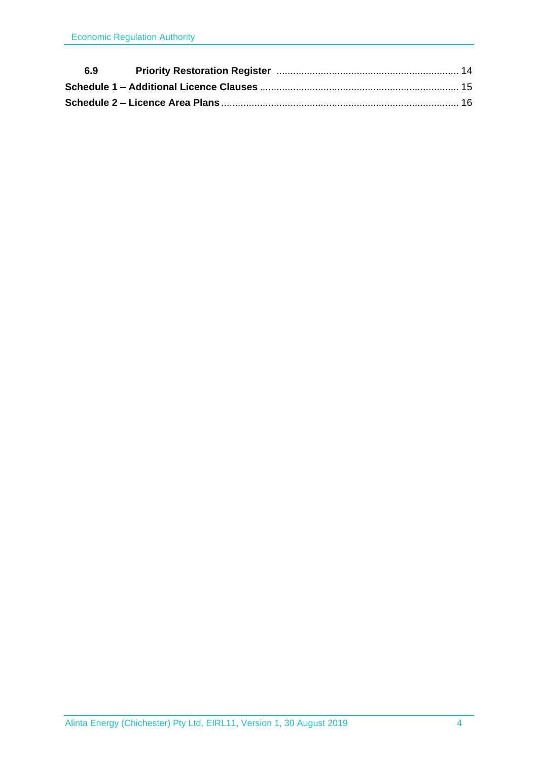| 6.9 |  |  |
|-----|--|--|
|     |  |  |
|     |  |  |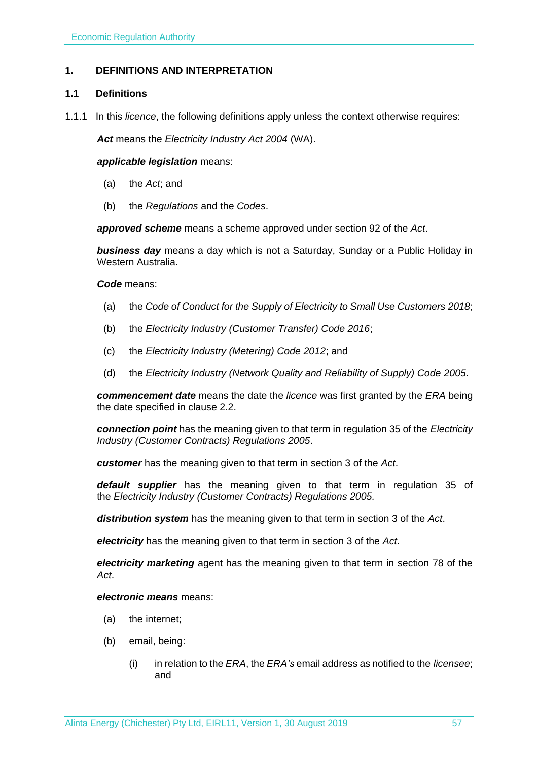## <span id="page-4-0"></span>**1. DEFINITIONS AND INTERPRETATION**

#### <span id="page-4-1"></span>**1.1 Definitions**

1.1.1 In this *licence*, the following definitions apply unless the context otherwise requires:

*Act* means the *Electricity Industry Act 2004* (WA).

#### *applicable legislation* means:

- (a) the *Act*; and
- (b) the *Regulations* and the *Codes*.

*approved scheme* means a scheme approved under section 92 of the *Act*.

*business day* means a day which is not a Saturday, Sunday or a Public Holiday in Western Australia.

#### *Code* means:

- (a) the *Code of Conduct for the Supply of Electricity to Small Use Customers 2018*;
- (b) the *Electricity Industry (Customer Transfer) Code 2016*;
- (c) the *Electricity Industry (Metering) Code 2012*; and
- (d) the *Electricity Industry (Network Quality and Reliability of Supply) Code 2005*.

*commencement date* means the date the *licence* was first granted by the *ERA* being the date specified in clause 2.2.

*connection point* has the meaning given to that term in regulation 35 of the *[Electricity](http://www.slp.wa.gov.au/legislation/statutes.nsf/main_mrtitle_1345_homepage.html)  [Industry \(Customer Contracts\) Regulations 2005](http://www.slp.wa.gov.au/legislation/statutes.nsf/main_mrtitle_1345_homepage.html)*.

*customer* has the meaning given to that term in section 3 of the *Act*.

*default supplier* has the meaning given to that term in regulation 35 of the *Electricity [Industry \(Customer Contracts\) Regulations 2005.](http://www.slp.wa.gov.au/legislation/statutes.nsf/main_mrtitle_1345_homepage.html)*

*distribution system* has the meaning given to that term in section 3 of the *Act*.

*electricity* has the meaning given to that term in section 3 of the *Act*.

*electricity marketing* agent has the meaning given to that term in section 78 of the *Act*.

## *electronic means* means:

- (a) the internet;
- (b) email, being:
	- (i) in relation to the *ERA*, the *ERA's* email address as notified to the *licensee*; and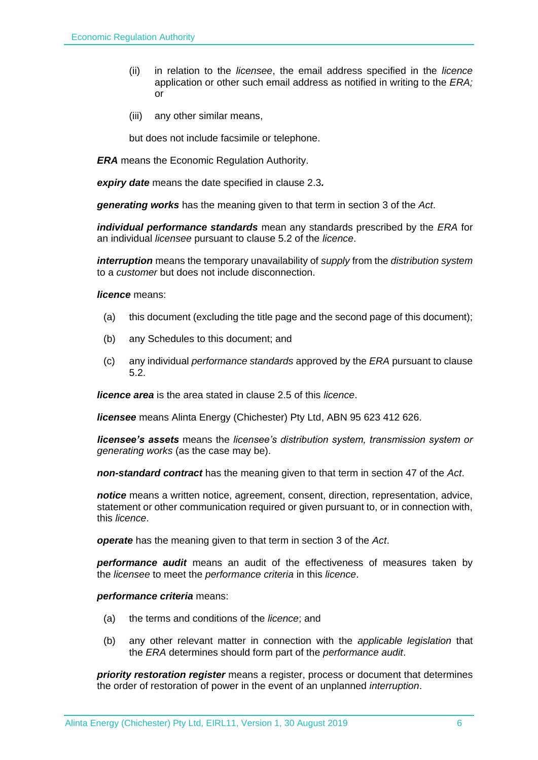- (ii) in relation to the *licensee*, the email address specified in the *licence* application or other such email address as notified in writing to the *ERA;* or
- (iii) any other similar means,

but does not include facsimile or telephone.

*ERA* means the Economic Regulation Authority.

*expiry date* means the date specified in clause 2.3*.*

*generating works* has the meaning given to that term in section 3 of the *Act*.

*individual performance standards* mean any standards prescribed by the *ERA* for an individual *licensee* pursuant to clause 5.2 of the *licence*.

*interruption* means the temporary unavailability of *supply* from the *distribution system* to a *customer* but does not include disconnection.

*licence* means:

- (a) this document (excluding the title page and the second page of this document);
- (b) any Schedules to this document; and
- (c) any individual *performance standards* approved by the *ERA* pursuant to clause 5.2.

*licence area* is the area stated in clause 2.5 of this *licence*.

*licensee* means Alinta Energy (Chichester) Pty Ltd, ABN 95 623 412 626.

*licensee's assets* means the *licensee's distribution system, transmission system or generating works* (as the case may be).

*non-standard contract* has the meaning given to that term in section 47 of the *Act*.

*notice* means a written notice, agreement, consent, direction, representation, advice, statement or other communication required or given pursuant to, or in connection with, this *licence*.

*operate* has the meaning given to that term in section 3 of the *Act*.

*performance audit* means an audit of the effectiveness of measures taken by the *licensee* to meet the *performance criteria* in this *licence*.

*performance criteria* means:

- (a) the terms and conditions of the *licence*; and
- (b) any other relevant matter in connection with the *applicable legislation* that the *ERA* determines should form part of the *performance audit*.

*priority restoration register* means a register, process or document that determines the order of restoration of power in the event of an unplanned *interruption*.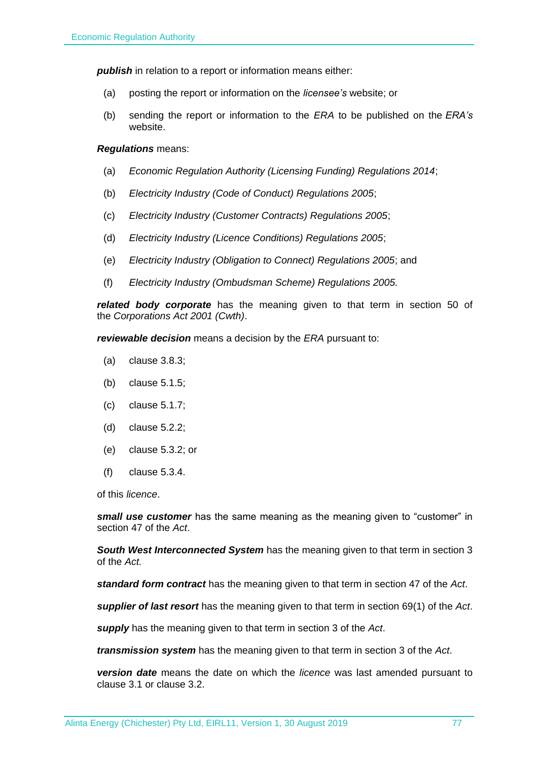**publish** in relation to a report or information means either:

- (a) posting the report or information on the *licensee's* website; or
- (b) sending the report or information to the *ERA* to be published on the *ERA's* website.

#### *Regulations* means:

- (a) *Economic Regulation Authority (Licensing Funding) Regulations 2014*;
- (b) *Electricity Industry (Code of Conduct) Regulations 2005*;
- (c) *Electricity Industry (Customer Contracts) Regulations 2005*;
- (d) *Electricity Industry (Licence Conditions) Regulations 2005*;
- (e) *Electricity Industry (Obligation to Connect) Regulations 2005*; and
- (f) *Electricity Industry (Ombudsman Scheme) Regulations 2005.*

*related body corporate* has the meaning given to that term in section 50 of the *Corporations Act 2001 (Cwth)*.

*reviewable decision* means a decision by the *ERA* pursuant to:

- (a) clause 3.8.3;
- (b) clause 5.1.5;
- (c) clause 5.1.7;
- (d) clause 5.2.2;
- (e) clause 5.3.2; or
- (f) clause 5.3.4.

of this *licence*.

*small use customer* has the same meaning as the meaning given to "customer" in section 47 of the *Act*.

*South West Interconnected System* has the meaning given to that term in section 3 of the *Act.* 

*standard form contract* has the meaning given to that term in section 47 of the *Act*.

*supplier of last resort* has the meaning given to that term in section 69(1) of the *Act*.

*supply* has the meaning given to that term in section 3 of the *Act*.

*transmission system* has the meaning given to that term in section 3 of the *Act*.

*version date* means the date on which the *licence* was last amended pursuant to clause 3.1 or clause 3.2.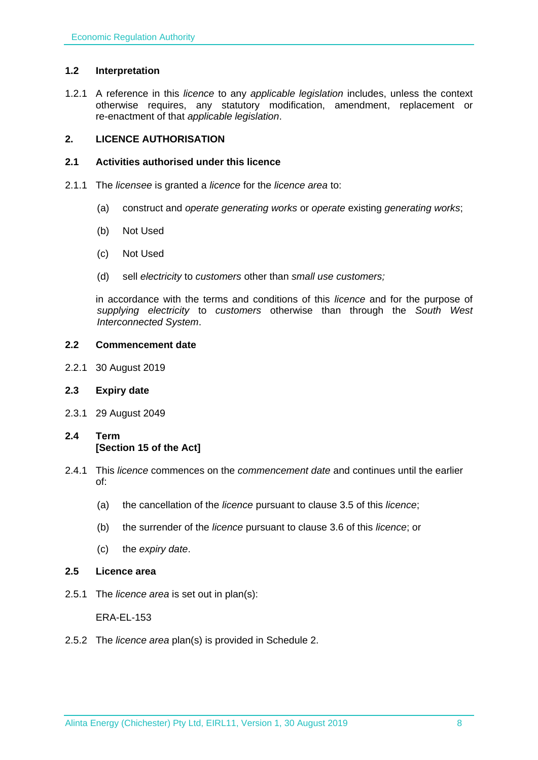## <span id="page-7-0"></span>**1.2 Interpretation**

1.2.1 A reference in this *licence* to any *applicable legislation* includes, unless the context otherwise requires, any statutory modification, amendment, replacement or re-enactment of that *applicable legislation*.

## <span id="page-7-1"></span>**2. LICENCE AUTHORISATION**

#### <span id="page-7-2"></span>**2.1 Activities authorised under this licence**

- 2.1.1 The *licensee* is granted a *licence* for the *licence area* to:
	- (a) construct and *operate generating works* or *operate* existing *generating works*;
	- (b) Not Used
	- (c) Not Used
	- (d) sell *electricity* to *customers* other than *small use customers;*

in accordance with the terms and conditions of this *licence* and for the purpose of *supplying electricity* to *customers* otherwise than through the *South West Interconnected System*.

#### <span id="page-7-3"></span>**2.2 Commencement date**

2.2.1 30 August 2019

## <span id="page-7-4"></span>**2.3 Expiry date**

- 2.3.1 29 August 2049
- <span id="page-7-5"></span>**2.4 Term [Section 15 of the Act]**
- 2.4.1 This *licence* commences on the *commencement date* and continues until the earlier of:
	- (a) the cancellation of the *licence* pursuant to clause 3.5 of this *licence*;
	- (b) the surrender of the *licence* pursuant to clause 3.6 of this *licence*; or
	- (c) the *expiry date*.
- <span id="page-7-6"></span>**2.5 Licence area**
- 2.5.1 The *licence area* is set out in plan(s):

ERA-EL-153

2.5.2 The *licence area* plan(s) is provided in Schedule 2.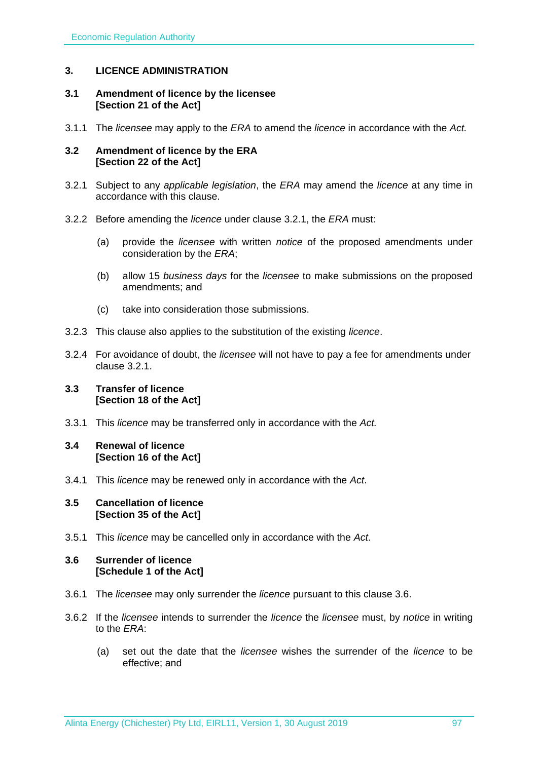## <span id="page-8-0"></span>**3. LICENCE ADMINISTRATION**

#### <span id="page-8-1"></span>**3.1 Amendment of licence by the licensee [Section 21 of the Act]**

3.1.1 The *licensee* may apply to the *ERA* to amend the *licence* in accordance with the *Act.*

#### <span id="page-8-2"></span>**3.2 Amendment of licence by the ERA [Section 22 of the Act]**

- 3.2.1 Subject to any *applicable legislation*, the *ERA* may amend the *licence* at any time in accordance with this clause.
- 3.2.2 Before amending the *licence* under clause 3.2.1, the *ERA* must:
	- (a) provide the *licensee* with written *notice* of the proposed amendments under consideration by the *ERA*;
	- (b) allow 15 *business days* for the *licensee* to make submissions on the proposed amendments; and
	- (c) take into consideration those submissions.
- 3.2.3 This clause also applies to the substitution of the existing *licence*.
- 3.2.4 For avoidance of doubt, the *licensee* will not have to pay a fee for amendments under clause 3.2.1.

#### <span id="page-8-3"></span>**3.3 Transfer of licence [Section 18 of the Act]**

- 3.3.1 This *licence* may be transferred only in accordance with the *Act.*
- <span id="page-8-4"></span>**3.4 Renewal of licence [Section 16 of the Act]**
- 3.4.1 This *licence* may be renewed only in accordance with the *Act*.

#### <span id="page-8-5"></span>**3.5 Cancellation of licence [Section 35 of the Act]**

3.5.1 This *licence* may be cancelled only in accordance with the *Act*.

#### <span id="page-8-6"></span>**3.6 Surrender of licence [Schedule 1 of the Act]**

- 3.6.1 The *licensee* may only surrender the *licence* pursuant to this clause 3.6.
- 3.6.2 If the *licensee* intends to surrender the *licence* the *licensee* must, by *notice* in writing to the *ERA*:
	- (a) set out the date that the *licensee* wishes the surrender of the *licence* to be effective; and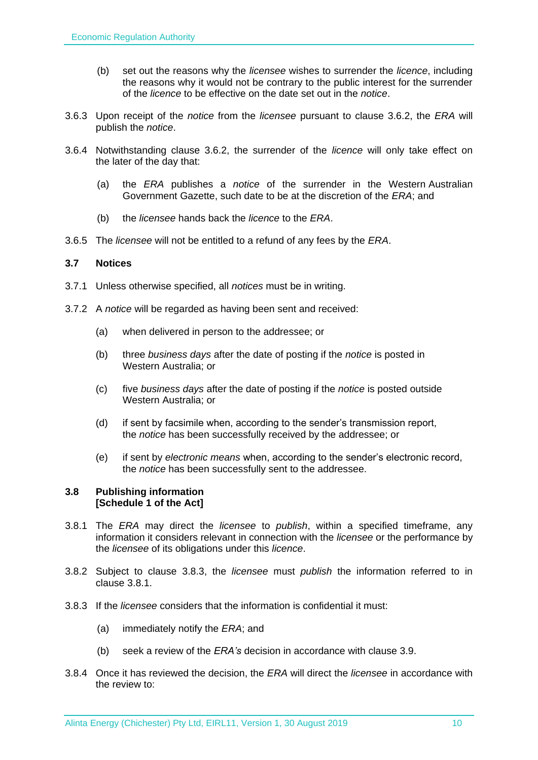- (b) set out the reasons why the *licensee* wishes to surrender the *licence*, including the reasons why it would not be contrary to the public interest for the surrender of the *licence* to be effective on the date set out in the *notice*.
- 3.6.3 Upon receipt of the *notice* from the *licensee* pursuant to clause 3.6.2, the *ERA* will publish the *notice*.
- 3.6.4 Notwithstanding clause 3.6.2, the surrender of the *licence* will only take effect on the later of the day that:
	- (a) the *ERA* publishes a *notice* of the surrender in the Western Australian Government Gazette, such date to be at the discretion of the *ERA*; and
	- (b) the *licensee* hands back the *licence* to the *ERA*.
- 3.6.5 The *licensee* will not be entitled to a refund of any fees by the *ERA*.

#### <span id="page-9-0"></span>**3.7 Notices**

- 3.7.1 Unless otherwise specified, all *notices* must be in writing.
- 3.7.2 A *notice* will be regarded as having been sent and received:
	- (a) when delivered in person to the addressee; or
	- (b) three *business days* after the date of posting if the *notice* is posted in Western Australia; or
	- (c) five *business days* after the date of posting if the *notice* is posted outside Western Australia; or
	- (d) if sent by facsimile when, according to the sender's transmission report, the *notice* has been successfully received by the addressee; or
	- (e) if sent by *electronic means* when, according to the sender's electronic record, the *notice* has been successfully sent to the addressee.

#### <span id="page-9-1"></span>**3.8 Publishing information [Schedule 1 of the Act]**

- 3.8.1 The *ERA* may direct the *licensee* to *publish*, within a specified timeframe, any information it considers relevant in connection with the *licensee* or the performance by the *licensee* of its obligations under this *licence*.
- 3.8.2 Subject to clause 3.8.3, the *licensee* must *publish* the information referred to in clause 3.8.1.
- 3.8.3 If the *licensee* considers that the information is confidential it must:
	- (a) immediately notify the *ERA*; and
	- (b) seek a review of the *ERA's* decision in accordance with clause 3.9.
- 3.8.4 Once it has reviewed the decision, the *ERA* will direct the *licensee* in accordance with the review to: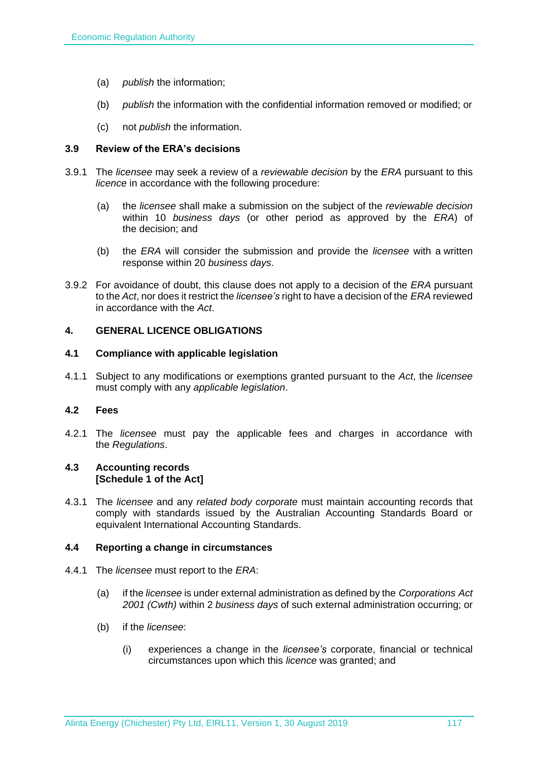- (a) *publish* the information;
- (b) *publish* the information with the confidential information removed or modified; or
- (c) not *publish* the information.

## <span id="page-10-0"></span>**3.9 Review of the ERA's decisions**

- 3.9.1 The *licensee* may seek a review of a *reviewable decision* by the *ERA* pursuant to this *licence* in accordance with the following procedure:
	- (a) the *licensee* shall make a submission on the subject of the *reviewable decision* within 10 *business days* (or other period as approved by the *ERA*) of the decision; and
	- (b) the *ERA* will consider the submission and provide the *licensee* with a written response within 20 *business days*.
- 3.9.2 For avoidance of doubt, this clause does not apply to a decision of the *ERA* pursuant to the *Act*, nor does it restrict the *licensee's* right to have a decision of the *ERA* reviewed in accordance with the *Act*.

#### <span id="page-10-1"></span>**4. GENERAL LICENCE OBLIGATIONS**

#### <span id="page-10-2"></span>**4.1 Compliance with applicable legislation**

4.1.1 Subject to any modifications or exemptions granted pursuant to the *Act*, the *licensee* must comply with any *applicable legislation*.

#### <span id="page-10-3"></span>**4.2 Fees**

4.2.1 The *licensee* must pay the applicable fees and charges in accordance with the *Regulations*.

#### <span id="page-10-4"></span>**4.3 Accounting records [Schedule 1 of the Act]**

4.3.1 The *licensee* and any *related body corporate* must maintain accounting records that comply with standards issued by the Australian Accounting Standards Board or equivalent International Accounting Standards.

#### <span id="page-10-5"></span>**4.4 Reporting a change in circumstances**

- 4.4.1 The *licensee* must report to the *ERA*:
	- (a) if the *licensee* is under external administration as defined by the *Corporations Act 2001 (Cwth)* within 2 *business days* of such external administration occurring; or
	- (b) if the *licensee*:
		- (i) experiences a change in the *licensee's* corporate, financial or technical circumstances upon which this *licence* was granted; and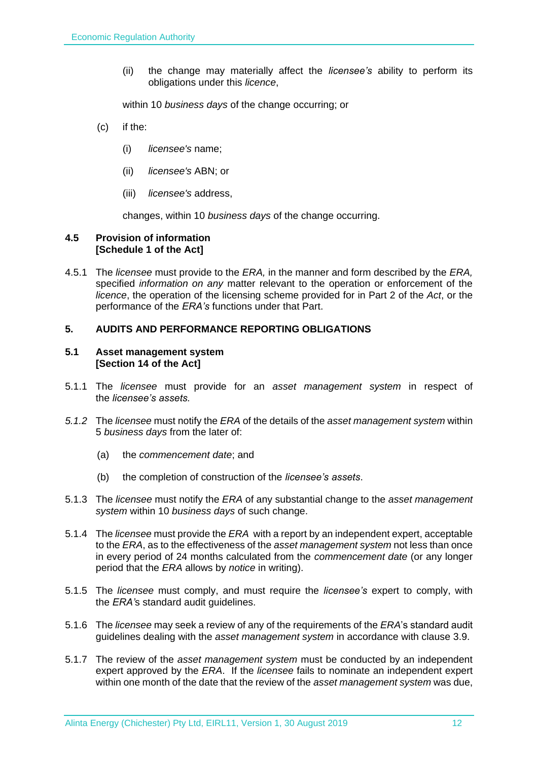(ii) the change may materially affect the *licensee's* ability to perform its obligations under this *licence*,

within 10 *business days* of the change occurring; or

- (c) if the:
	- (i) *licensee's* name;
	- (ii) *licensee's* ABN; or
	- (iii) *licensee's* address,

changes, within 10 *business days* of the change occurring.

#### <span id="page-11-0"></span>**4.5 Provision of information [Schedule 1 of the Act]**

4.5.1 The *licensee* must provide to the *ERA,* in the manner and form described by the *ERA,*  specified *information on any* matter relevant to the operation or enforcement of the *licence*, the operation of the licensing scheme provided for in Part 2 of the *Act*, or the performance of the *ERA's* functions under that Part.

## <span id="page-11-1"></span>**5. AUDITS AND PERFORMANCE REPORTING OBLIGATIONS**

#### <span id="page-11-2"></span>**5.1 Asset management system [Section 14 of the Act]**

- 5.1.1 The *licensee* must provide for an *asset management system* in respect of the *licensee's assets.*
- *5.1.2* The *licensee* must notify the *ERA* of the details of the *asset management system* within 5 *business days* from the later of:
	- (a) the *commencement date*; and
	- (b) the completion of construction of the *licensee's assets*.
- 5.1.3 The *licensee* must notify the *ERA* of any substantial change to the *asset management system* within 10 *business days* of such change.
- 5.1.4 The *licensee* must provide the *ERA* with a report by an independent expert, acceptable to the *ERA*, as to the effectiveness of the *asset management system* not less than once in every period of 24 months calculated from the *commencement date* (or any longer period that the *ERA* allows by *notice* in writing).
- 5.1.5 The *licensee* must comply, and must require the *licensee's* expert to comply, with the *ERA'*s standard audit guidelines.
- 5.1.6 The *licensee* may seek a review of any of the requirements of the *ERA*'s standard audit guidelines dealing with the *asset management system* in accordance with clause 3.9.
- 5.1.7 The review of the *asset management system* must be conducted by an independent expert approved by the *ERA*. If the *licensee* fails to nominate an independent expert within one month of the date that the review of the *asset management system* was due,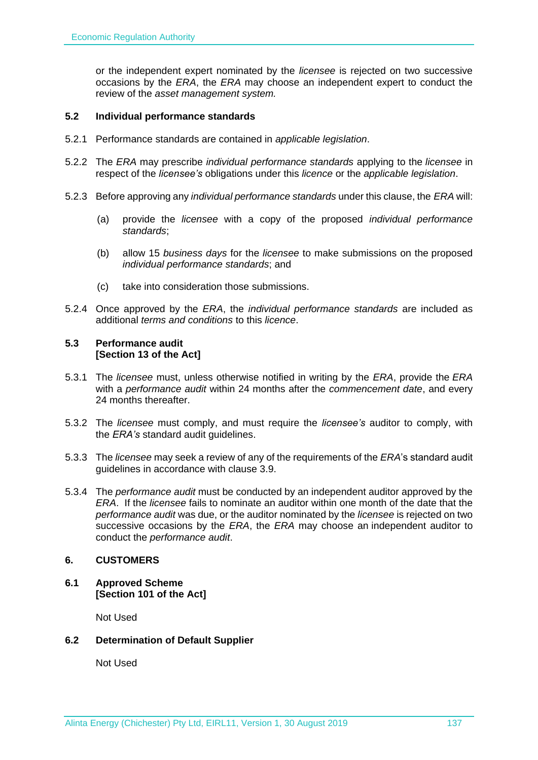or the independent expert nominated by the *licensee* is rejected on two successive occasions by the *ERA*, the *ERA* may choose an independent expert to conduct the review of the *asset management system.*

## <span id="page-12-0"></span>**5.2 Individual performance standards**

- 5.2.1 Performance standards are contained in *applicable legislation*.
- 5.2.2 The *ERA* may prescribe *individual performance standards* applying to the *licensee* in respect of the *licensee's* obligations under this *licence* or the *applicable legislation*.
- 5.2.3 Before approving any *individual performance standards* under this clause, the *ERA* will:
	- (a) provide the *licensee* with a copy of the proposed *individual performance standards*;
	- (b) allow 15 *business days* for the *licensee* to make submissions on the proposed *individual performance standards*; and
	- (c) take into consideration those submissions.
- 5.2.4 Once approved by the *ERA*, the *individual performance standards* are included as additional *terms and conditions* to this *licence*.

#### <span id="page-12-1"></span>**5.3 Performance audit [Section 13 of the Act]**

- 5.3.1 The *licensee* must, unless otherwise notified in writing by the *ERA*, provide the *ERA* with a *performance audit* within 24 months after the *commencement date*, and every 24 months thereafter.
- 5.3.2 The *licensee* must comply, and must require the *licensee's* auditor to comply, with the *ERA's* standard audit guidelines.
- 5.3.3 The *licensee* may seek a review of any of the requirements of the *ERA*'s standard audit guidelines in accordance with clause 3.9.
- 5.3.4 The *performance audit* must be conducted by an independent auditor approved by the *ERA*. If the *licensee* fails to nominate an auditor within one month of the date that the *performance audit* was due, or the auditor nominated by the *licensee* is rejected on two successive occasions by the *ERA*, the *ERA* may choose an independent auditor to conduct the *performance audit*.

## <span id="page-12-2"></span>**6. CUSTOMERS**

<span id="page-12-3"></span>**6.1 Approved Scheme [Section 101 of the Act]**

Not Used

## <span id="page-12-4"></span>**6.2 Determination of Default Supplier**

Not Used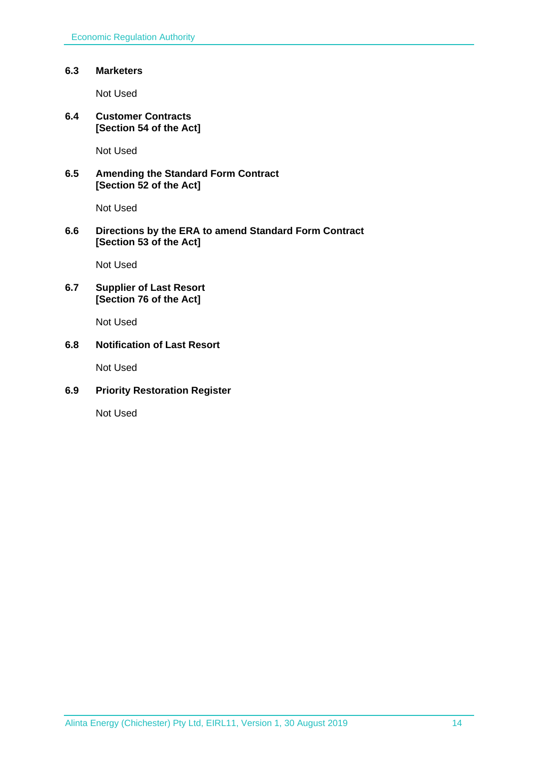### <span id="page-13-0"></span>**6.3 Marketers**

Not Used

<span id="page-13-1"></span>**6.4 Customer Contracts [Section 54 of the Act]**

Not Used

## <span id="page-13-2"></span>**6.5 Amending the Standard Form Contract [Section 52 of the Act]**

Not Used

## <span id="page-13-3"></span>**6.6 Directions by the ERA to amend Standard Form Contract [Section 53 of the Act]**

Not Used

## <span id="page-13-4"></span>**6.7 Supplier of Last Resort [Section 76 of the Act]**

Not Used

## <span id="page-13-5"></span>**6.8 Notification of Last Resort**

Not Used

## <span id="page-13-6"></span>**6.9 Priority Restoration Register**

Not Used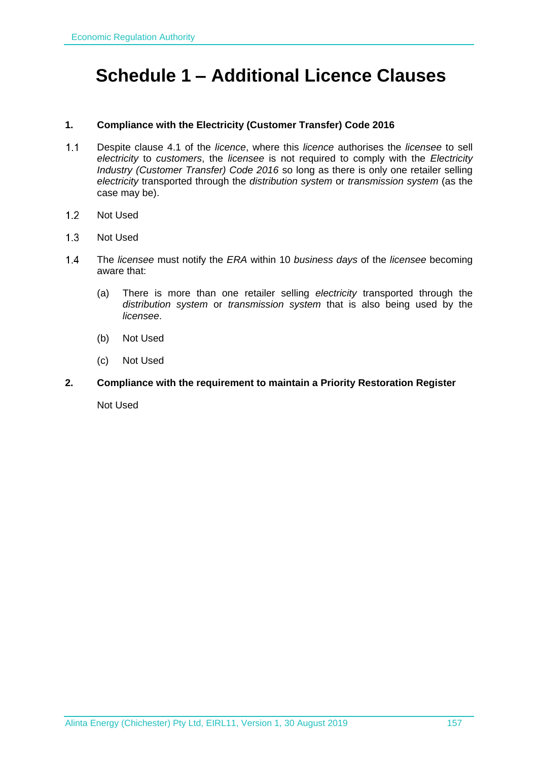## <span id="page-14-0"></span>**Schedule 1 – Additional Licence Clauses**

#### **1. Compliance with the Electricity (Customer Transfer) Code 2016**

- $1.1$ Despite clause 4.1 of the *licence*, where this *licence* authorises the *licensee* to sell *electricity* to *customers*, the *licensee* is not required to comply with the *Electricity Industry (Customer Transfer) Code 2016* so long as there is only one retailer selling *electricity* transported through the *distribution system* or *transmission system* (as the case may be).
- $1.2$ Not Used
- $1.3$ Not Used
- $14$ The *licensee* must notify the *ERA* within 10 *business days* of the *licensee* becoming aware that:
	- (a) There is more than one retailer selling *electricity* transported through the *distribution system* or *transmission system* that is also being used by the *licensee*.
	- (b) Not Used
	- (c) Not Used
- **2. Compliance with the requirement to maintain a Priority Restoration Register**

Not Used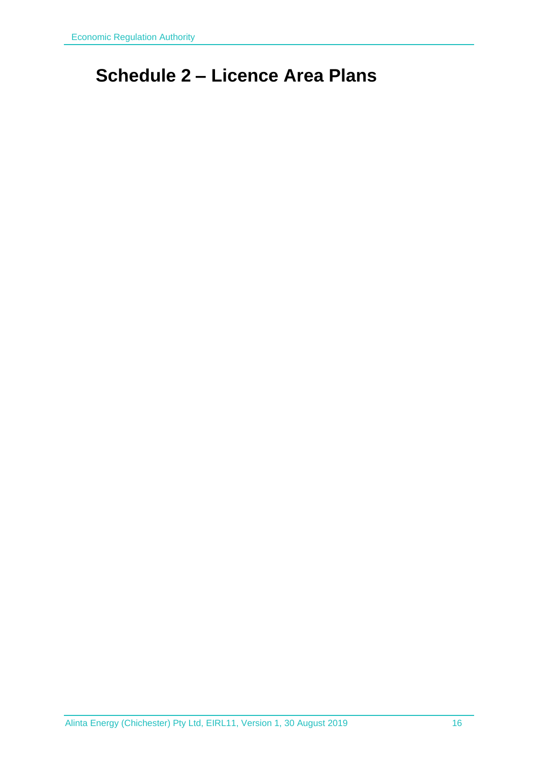## <span id="page-15-0"></span>**Schedule 2 – Licence Area Plans**